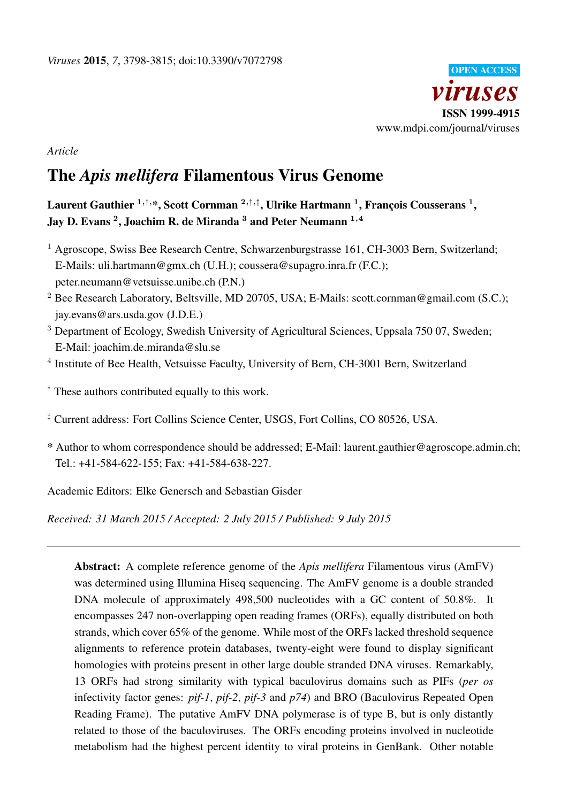

*Article*

# The *Apis mellifera* Filamentous Virus Genome

Laurent Gauthier  $^{1,\dagger,\ast},$  Scott Cornman  $^{2,\dagger,\ddagger},$  Ulrike Hartmann  $^{1},$  François Cousserans  $^{1},$ Jay D. Evans <sup>2</sup>, Joachim R. de Miranda  $^3$  and Peter Neumann  $^{1,4}$ 

- $<sup>1</sup>$  Agroscope, Swiss Bee Research Centre, Schwarzenburgstrasse 161, CH-3003 Bern, Switzerland;</sup> E-Mails: uli.hartmann@gmx.ch (U.H.); coussera@supagro.inra.fr (F.C.); peter.neumann@vetsuisse.unibe.ch (P.N.)
- <sup>2</sup> Bee Research Laboratory, Beltsville, MD 20705, USA; E-Mails: scott.cornman@gmail.com (S.C.); jay.evans@ars.usda.gov (J.D.E.)
- <sup>3</sup> Department of Ecology, Swedish University of Agricultural Sciences, Uppsala 750 07, Sweden; E-Mail: joachim.de.miranda@slu.se
- <sup>4</sup> Institute of Bee Health, Vetsuisse Faculty, University of Bern, CH-3001 Bern, Switzerland
- $\dagger$  These authors contributed equally to this work.
- <sup>‡</sup> Current address: Fort Collins Science Center, USGS, Fort Collins, CO 80526, USA.
- \* Author to whom correspondence should be addressed; E-Mail: laurent.gauthier@agroscope.admin.ch; Tel.: +41-584-622-155; Fax: +41-584-638-227.

Academic Editors: Elke Genersch and Sebastian Gisder

*Received: 31 March 2015 / Accepted: 2 July 2015 / Published: 9 July 2015*

Abstract: A complete reference genome of the *Apis mellifera* Filamentous virus (AmFV) was determined using Illumina Hiseq sequencing. The AmFV genome is a double stranded DNA molecule of approximately 498,500 nucleotides with a GC content of 50.8%. It encompasses 247 non-overlapping open reading frames (ORFs), equally distributed on both strands, which cover 65% of the genome. While most of the ORFs lacked threshold sequence alignments to reference protein databases, twenty-eight were found to display significant homologies with proteins present in other large double stranded DNA viruses. Remarkably, 13 ORFs had strong similarity with typical baculovirus domains such as PIFs (*per os* infectivity factor genes: *pif-1*, *pif-2*, *pif-3* and *p74*) and BRO (Baculovirus Repeated Open Reading Frame). The putative AmFV DNA polymerase is of type B, but is only distantly related to those of the baculoviruses. The ORFs encoding proteins involved in nucleotide metabolism had the highest percent identity to viral proteins in GenBank. Other notable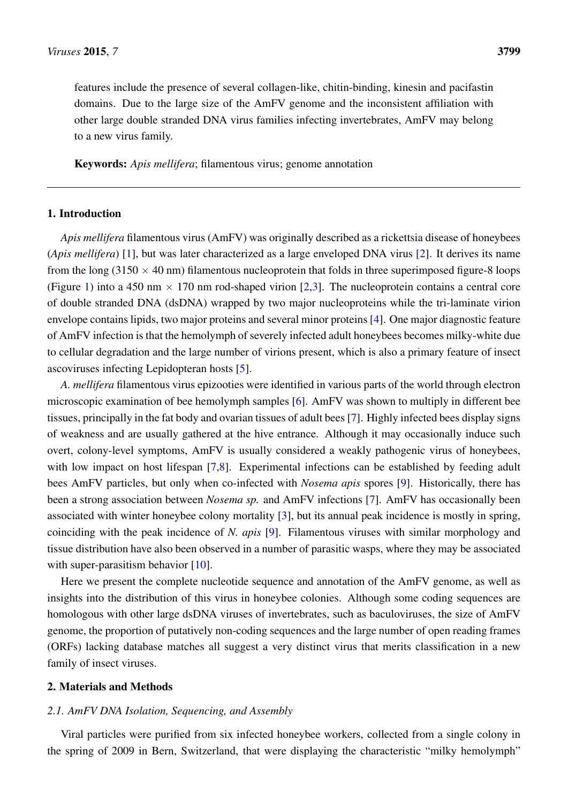features include the presence of several collagen-like, chitin-binding, kinesin and pacifastin domains. Due to the large size of the AmFV genome and the inconsistent affiliation with other large double stranded DNA virus families infecting invertebrates, AmFV may belong to a new virus family.

Keywords: *Apis mellifera*; filamentous virus; genome annotation

## 1. Introduction

*Apis mellifera* filamentous virus (AmFV) was originally described as a rickettsia disease of honeybees (*Apis mellifera*) [\[1\]](#page-13-0), but was later characterized as a large enveloped DNA virus [\[2\]](#page-13-1). It derives its name from the long  $(3150 \times 40 \text{ nm})$  filamentous nucleoprotein that folds in three superimposed figure-8 loops (Figure [1\)](#page-2-0) into a 450 nm  $\times$  170 nm rod-shaped virion [\[2](#page-13-1)[,3\]](#page-13-2). The nucleoprotein contains a central core of double stranded DNA (dsDNA) wrapped by two major nucleoproteins while the tri-laminate virion envelope contains lipids, two major proteins and several minor proteins [\[4\]](#page-13-3). One major diagnostic feature of AmFV infection is that the hemolymph of severely infected adult honeybees becomes milky-white due to cellular degradation and the large number of virions present, which is also a primary feature of insect ascoviruses infecting Lepidopteran hosts [\[5\]](#page-13-4).

*A. mellifera* filamentous virus epizooties were identified in various parts of the world through electron microscopic examination of bee hemolymph samples [\[6\]](#page-13-5). AmFV was shown to multiply in different bee tissues, principally in the fat body and ovarian tissues of adult bees [\[7\]](#page-13-6). Highly infected bees display signs of weakness and are usually gathered at the hive entrance. Although it may occasionally induce such overt, colony-level symptoms, AmFV is usually considered a weakly pathogenic virus of honeybees, with low impact on host lifespan [\[7,](#page-13-6)[8\]](#page-13-7). Experimental infections can be established by feeding adult bees AmFV particles, but only when co-infected with *Nosema apis* spores [\[9\]](#page-13-8). Historically, there has been a strong association between *Nosema sp.* and AmFV infections [\[7\]](#page-13-6). AmFV has occasionally been associated with winter honeybee colony mortality [\[3\]](#page-13-2), but its annual peak incidence is mostly in spring, coinciding with the peak incidence of *N. apis* [\[9\]](#page-13-8). Filamentous viruses with similar morphology and tissue distribution have also been observed in a number of parasitic wasps, where they may be associated with super-parasitism behavior [\[10\]](#page-13-9).

Here we present the complete nucleotide sequence and annotation of the AmFV genome, as well as insights into the distribution of this virus in honeybee colonies. Although some coding sequences are homologous with other large dsDNA viruses of invertebrates, such as baculoviruses, the size of AmFV genome, the proportion of putatively non-coding sequences and the large number of open reading frames (ORFs) lacking database matches all suggest a very distinct virus that merits classification in a new family of insect viruses.

## 2. Materials and Methods

## *2.1. AmFV DNA Isolation, Sequencing, and Assembly*

Viral particles were purified from six infected honeybee workers, collected from a single colony in the spring of 2009 in Bern, Switzerland, that were displaying the characteristic "milky hemolymph"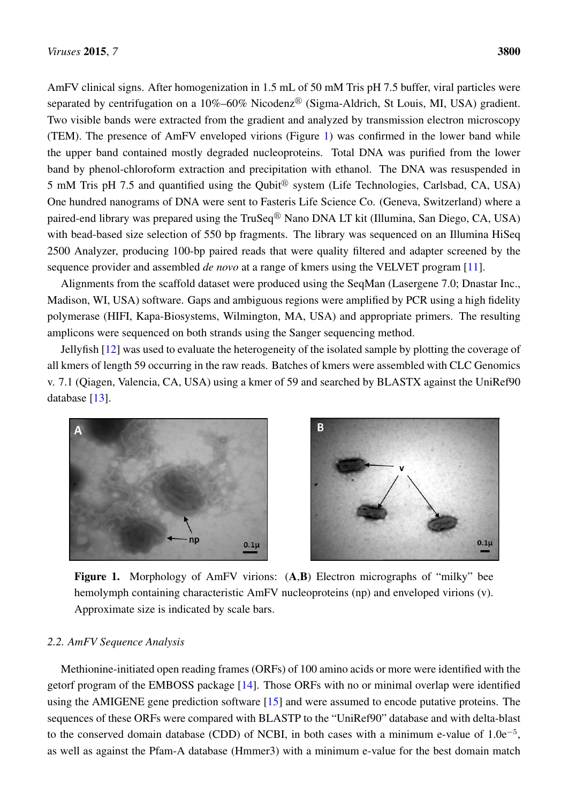AmFV clinical signs. After homogenization in 1.5 mL of 50 mM Tris pH 7.5 buffer, viral particles were separated by centrifugation on a  $10\% - 60\%$  Nicodenz® (Sigma-Aldrich, St Louis, MI, USA) gradient. Two visible bands were extracted from the gradient and analyzed by transmission electron microscopy Two visible bands were extracted from the gradient and analyzed by transmission electron microscopy (TEM). The presence of AmFV enveloped virions (Figure [1\)](#page-2-0) was confirmed in the lower band while the upper band contained mostly degraded nucleoproteins. Total DNA was purified from the lower band by phenol-chloroform extraction and precipitation with ethanol. The DNA was resuspended in 5 mM Tris pH 7.5 and quantified using the Qubit<sup>®</sup> system (Life Technologies, Carlsbad, CA, USA) One hundred nanograms of DNA were sent to Fasteris Life Science Co. (Geneva, Switzerland) where a paired-end library was prepared using the TruSeq® Nano DNA LT kit (Illumina, San Diego, CA, USA) with bead-based size selection of 550 bp fragments. The library was sequenced on an Illumina HiSeq 2500 Analyzer, producing 100-bp paired reads that were quality filtered and adapter screened by the sequence provider and assembled *de novo* at a range of kmers using the VELVET program [\[11\]](#page-13-10). AmFV clinical signs. After homogenization in 1.5 mL of 50 mM Tris pH 7.5 buffer, viral particles were

Alignments from the scaffold dataset were produced using the SeqMan (Lasergene 7.0; Dnastar Inc., Alignments from the scaffold dataset were produced using the SeqMan (Lasergene 7.0; Dnastar Inc., Madison, WI, USA) software. Gaps and ambiguous regions were amplified by PCR using a high fidelity Madison, WI, USA) software. Gaps and ambiguous regions were amplified by PCR using a high fidelity polymerase (HIFI, Kapa-Biosystems, Wilmington, MA, USA) and appropriate primers. The resulting polymerase (HIFI, Kapa-Biosystems, Wilmington, MA, USA) and appropriate primers. The resulting amplicons were sequenced on both strands using the Sanger sequencing method. amplicons were sequenced on both strands using the Sanger sequencing method.

Jellyfish [\[12\]](#page-13-11) was used to evaluate the heterogeneity of the isolated sample by plotting the coverage of Jellyfish [12] was used to evaluate the heterogeneity of the isolated sample by plotting the coverage all kmers of length 59 occurring in the raw reads. Batches of kmers were assembled with CLC Genomics v. 7.1 (Qiagen, Valencia, CA, USA) using a kmer of 59 and searched by BLASTX against the UniRef90 database  $[13]$ .

<span id="page-2-0"></span>



**Figure 1.** Morphology of AmFV virions: (**A**,**B**) Electron micrographs of "milky" bee Figure 1. Morphology of AmFV virions: (A,B) Electron micrographs of "milky" bee hemolymph containing characteristic AmFV nucleoproteins (np) and enveloped virions (v). hemolymph containing characteristic AmFV nucleoproteins (np) and enveloped virions (v). Approximate size is indicated by scale bars. Approximate size is indicated by scale bars.

# *2.2. AmFV Sequence Analysis*

Methionine-initiated open reading frames (ORFs) of 100 amino acids or more were identified with the getorf program of the EMBOSS package [\[14\]](#page-13-13). Those ORFs with no or minimal overlap were identified using the AMIGENE gene prediction software [\[15\]](#page-14-0) and were assumed to encode putative proteins. The sequences of these ORFs were compared with BLASTP to the "UniRef90" database and with delta-blast to the conserved domain database (CDD) of NCBI, in both cases with a minimum e-value of  $1.0e^{-5}$ , as well as against the Pfam-A database (Hmmer3) with a minimum e-value for the best domain match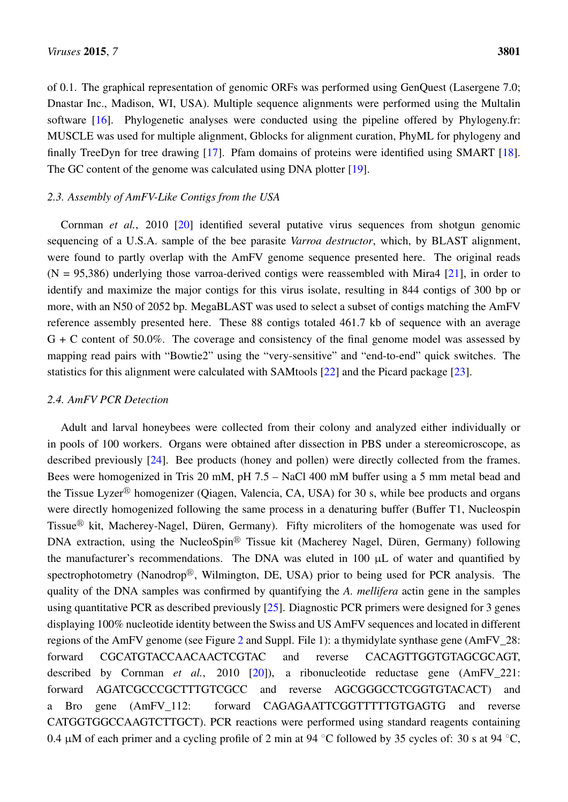of 0.1. The graphical representation of genomic ORFs was performed using GenQuest (Lasergene 7.0; Dnastar Inc., Madison, WI, USA). Multiple sequence alignments were performed using the Multalin software [\[16\]](#page-14-1). Phylogenetic analyses were conducted using the pipeline offered by Phylogeny.fr: MUSCLE was used for multiple alignment, Gblocks for alignment curation, PhyML for phylogeny and finally TreeDyn for tree drawing [\[17\]](#page-14-2). Pfam domains of proteins were identified using SMART [\[18\]](#page-14-3). The GC content of the genome was calculated using DNA plotter [\[19\]](#page-14-4).

# *2.3. Assembly of AmFV-Like Contigs from the USA*

Cornman *et al.*, 2010 [\[20\]](#page-14-5) identified several putative virus sequences from shotgun genomic sequencing of a U.S.A. sample of the bee parasite *Varroa destructor*, which, by BLAST alignment, were found to partly overlap with the AmFV genome sequence presented here. The original reads  $(N = 95,386)$  underlying those varroa-derived contigs were reassembled with Mira4 [\[21\]](#page-14-6), in order to identify and maximize the major contigs for this virus isolate, resulting in 844 contigs of 300 bp or more, with an N50 of 2052 bp. MegaBLAST was used to select a subset of contigs matching the AmFV reference assembly presented here. These 88 contigs totaled 461.7 kb of sequence with an average  $G + C$  content of 50.0%. The coverage and consistency of the final genome model was assessed by mapping read pairs with "Bowtie2" using the "very-sensitive" and "end-to-end" quick switches. The statistics for this alignment were calculated with SAMtools [\[22\]](#page-14-7) and the Picard package [\[23\]](#page-14-8).

# *2.4. AmFV PCR Detection*

Adult and larval honeybees were collected from their colony and analyzed either individually or in pools of 100 workers. Organs were obtained after dissection in PBS under a stereomicroscope, as described previously [\[24\]](#page-14-9). Bee products (honey and pollen) were directly collected from the frames. Bees were homogenized in Tris 20 mM, pH 7.5 – NaCl 400 mM buffer using a 5 mm metal bead and the Tissue Lyzer<sup>®</sup> homogenizer (Qiagen, Valencia, CA, USA) for 30 s, while bee products and organs were directly homogenized following the same process in a denaturing buffer (Buffer T1, Nucleospin Tissue<sup> $\textcircled{B}$ </sup> kit, Macherey-Nagel, Düren, Germany). Fifty microliters of the homogenate was used for DNA extraction, using the NucleoSpin<sup>®</sup> Tissue kit (Macherey Nagel, Düren, Germany) following the manufacturer's recommendations. The DNA was eluted in 100 µL of water and quantified by spectrophotometry (Nanodrop®, Wilmington, DE, USA) prior to being used for PCR analysis. The quality of the DNA samples was confirmed by quantifying the *A. mellifera* actin gene in the samples using quantitative PCR as described previously [\[25\]](#page-14-10). Diagnostic PCR primers were designed for 3 genes displaying 100% nucleotide identity between the Swiss and US AmFV sequences and located in different regions of the AmFV genome (see Figure [2](#page-4-0) and Suppl. File 1): a thymidylate synthase gene (AmFV\_28: forward CGCATGTACCAACAACTCGTAC and reverse CACAGTTGGTGTAGCGCAGT, described by Cornman *et al.*, 2010 [\[20\]](#page-14-5)), a ribonucleotide reductase gene (AmFV 221: forward AGATCGCCCGCTTTGTCGCC and reverse AGCGGGCCTCGGTGTACACT) and a Bro gene (AmFV\_112: forward CAGAGAATTCGGTTTTTGTGAGTG and reverse CATGGTGGCCAAGTCTTGCT). PCR reactions were performed using standard reagents containing 0.4  $\mu$ M of each primer and a cycling profile of 2 min at 94 °C followed by 35 cycles of: 30 s at 94 °C,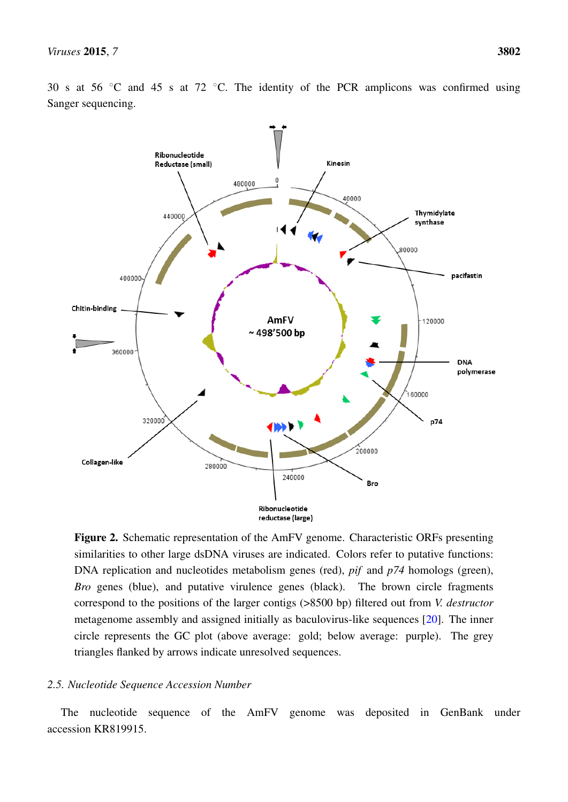<span id="page-4-0"></span>

30 s at 56 °C and 45 s at 72 °C. The identity of the PCR amplicons was confirmed using Sanger sequencing.

**Figure 2.** Schematic representation of the AmFV genome. Characteristic ORFs presenting  $\overline{R}$ similarities to other large dsDNA viruses are indicated. Colors refer to putative functions: DNA replication and nucleotides metabolism genes (red), *pif* and *p74* homologs (green), *Bro* genes (blue), and putative virulence genes (black). The brown circle fragments correspond to the positions of the larger contigs (>8500 bp) filtered out from *V. destructor* metagenome assembly and assigned initially as baculovirus-like sequences [\[20\]](#page-14-5). The inner circle represents the GC plot (above average: gold; below average: purple). The grey arrows indicate unresolved sequences. triangles flanked by arrows indicate unresolved sequences.

# *2.5. Nucleotide Sequence Accession Number*

The nucleotide sequence of the AmFV genome was deposited in GenBank under accession KR819915.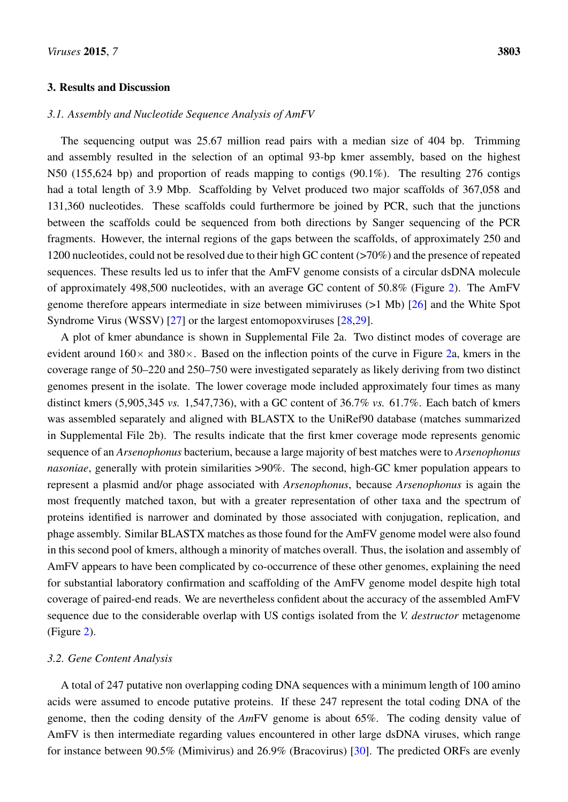## 3. Results and Discussion

## *3.1. Assembly and Nucleotide Sequence Analysis of AmFV*

The sequencing output was 25.67 million read pairs with a median size of 404 bp. Trimming and assembly resulted in the selection of an optimal 93-bp kmer assembly, based on the highest N50 (155,624 bp) and proportion of reads mapping to contigs (90.1%). The resulting 276 contigs had a total length of 3.9 Mbp. Scaffolding by Velvet produced two major scaffolds of 367,058 and 131,360 nucleotides. These scaffolds could furthermore be joined by PCR, such that the junctions between the scaffolds could be sequenced from both directions by Sanger sequencing of the PCR fragments. However, the internal regions of the gaps between the scaffolds, of approximately 250 and 1200 nucleotides, could not be resolved due to their high GC content (>70%) and the presence of repeated sequences. These results led us to infer that the AmFV genome consists of a circular dsDNA molecule of approximately 498,500 nucleotides, with an average GC content of 50.8% (Figure [2\)](#page-4-0). The AmFV genome therefore appears intermediate in size between mimiviruses (>1 Mb) [\[26\]](#page-14-11) and the White Spot Syndrome Virus (WSSV) [\[27\]](#page-14-12) or the largest entomopoxviruses [\[28](#page-14-13)[,29\]](#page-14-14).

A plot of kmer abundance is shown in Supplemental File 2a. Two distinct modes of coverage are evident around  $160\times$  and  $380\times$ . Based on the inflection points of the curve in Figure [2a](#page-4-0), kmers in the coverage range of 50–220 and 250–750 were investigated separately as likely deriving from two distinct genomes present in the isolate. The lower coverage mode included approximately four times as many distinct kmers (5,905,345 *vs.* 1,547,736), with a GC content of 36.7% *vs.* 61.7%. Each batch of kmers was assembled separately and aligned with BLASTX to the UniRef90 database (matches summarized in Supplemental File 2b). The results indicate that the first kmer coverage mode represents genomic sequence of an *Arsenophonus* bacterium, because a large majority of best matches were to *Arsenophonus nasoniae*, generally with protein similarities >90%. The second, high-GC kmer population appears to represent a plasmid and/or phage associated with *Arsenophonus*, because *Arsenophonus* is again the most frequently matched taxon, but with a greater representation of other taxa and the spectrum of proteins identified is narrower and dominated by those associated with conjugation, replication, and phage assembly. Similar BLASTX matches as those found for the AmFV genome model were also found in this second pool of kmers, although a minority of matches overall. Thus, the isolation and assembly of AmFV appears to have been complicated by co-occurrence of these other genomes, explaining the need for substantial laboratory confirmation and scaffolding of the AmFV genome model despite high total coverage of paired-end reads. We are nevertheless confident about the accuracy of the assembled AmFV sequence due to the considerable overlap with US contigs isolated from the *V. destructor* metagenome (Figure [2\)](#page-4-0).

#### *3.2. Gene Content Analysis*

A total of 247 putative non overlapping coding DNA sequences with a minimum length of 100 amino acids were assumed to encode putative proteins. If these 247 represent the total coding DNA of the genome, then the coding density of the *Am*FV genome is about 65%. The coding density value of AmFV is then intermediate regarding values encountered in other large dsDNA viruses, which range for instance between 90.5% (Mimivirus) and 26.9% (Bracovirus) [\[30\]](#page-15-0). The predicted ORFs are evenly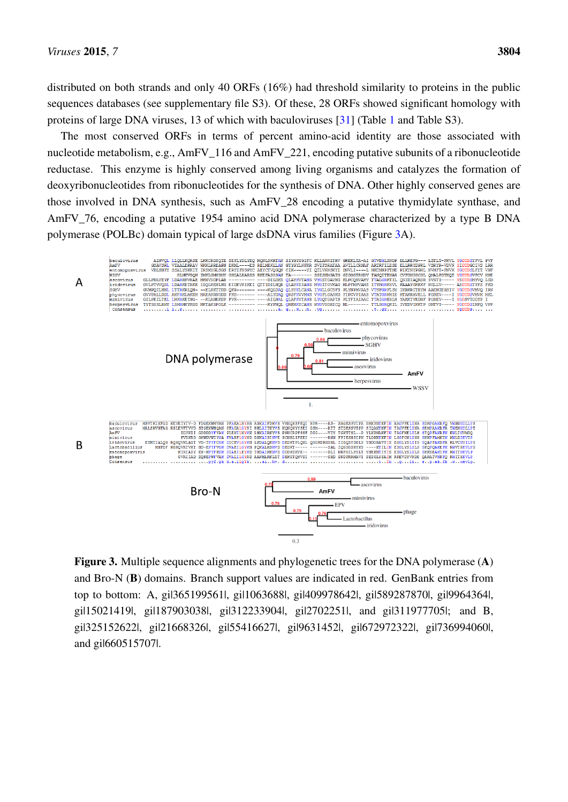distributed on both strands and only 40 ORFs  $(16%)$  had threshold similarity to proteins in the public sequences databases (see supplementary file S3). Of these, 28 ORFs showed significant homology with proteins of large DNA viruses, 13 of which with baculoviruses [\[31\]](#page-15-1) (Table [1](#page-7-0) and Table S3).

The most conserved ORFs in terms of percent amino-acid identity are those associated with The most conserved ORFs in terms of percent amino-acid identity are those associated with nucleotide metabolism, e.g., AmFV\_116 and AmFV\_221, encoding putative subunits of a ribonucleotide nucleotide metabolism, e.g., AmFV\_116 and AmFV\_221, encoding putative subunits of a ribonucleotide reductase. This enzyme is highly conserved among living organisms and catalyzes the formation of reductase. This enzyme is highly conserved among living organisms and catalyzes the formation of deoxyribonucleotides from ribonucleotides for the synthesis of DNA. Other highly conserved genes are deoxyribonucleotides from ribonucleotides for the synthesis of DNA. Other highly conserved genes are those involved in DNA synthesis, such as AmFV\_28 encoding a putative thymidylate synthase, and those involved in DNA synthesis, such as AmFV\_28 encoding a putative thymidylate synthase, and AmFV\_76, encoding a putative 1954 amino acid DNA polymerase characterized by a type B DNA AmFV\_76, encoding a putative 1954 amino acid DNA polymerase characterized by a type B DNA polymerase (POLBc) domain typical of large dsDNA virus families (Figure [3A](#page-6-0)). polymerase (POLBc) domain typical of large dsDNA virus families (Figure 3A).

<span id="page-6-0"></span>

**Figure 3.** Multiple sequence alignments and phylogenetic trees for the DNA polymerase (**A**) Figure 3. Multiple sequence alignments and phylogenetic trees for the DNA polymerase (A) and Bro-N (**B**) domains. Branch support values are indicated in red. GenBank entries from and Bro-N (B) domains. Branch support values are indicated in red. GenBank entries from top to bottom: A, gi|365199561|, gi|1063688|, gi|409978642|, gi|589287870|, gi|9964364|, top to bottom: A, gi|365199561|, gi|1063688|, gi|409978642|, gi|589287870|, gi|9964364|, gi|15021419|, gi|187903038|, gi|312233904|, gi|2702251|, and gi|311977705|; and B, gi|15021419|, gi|187903038|, gi|312233904|, gi|2702251|, and gi|311977705|; and B, gil325152622l, gil21668326l, gil55416627l, gil9631452l, gil672972322l, gil736994060l, gi|660515707|. and gi|660515707|.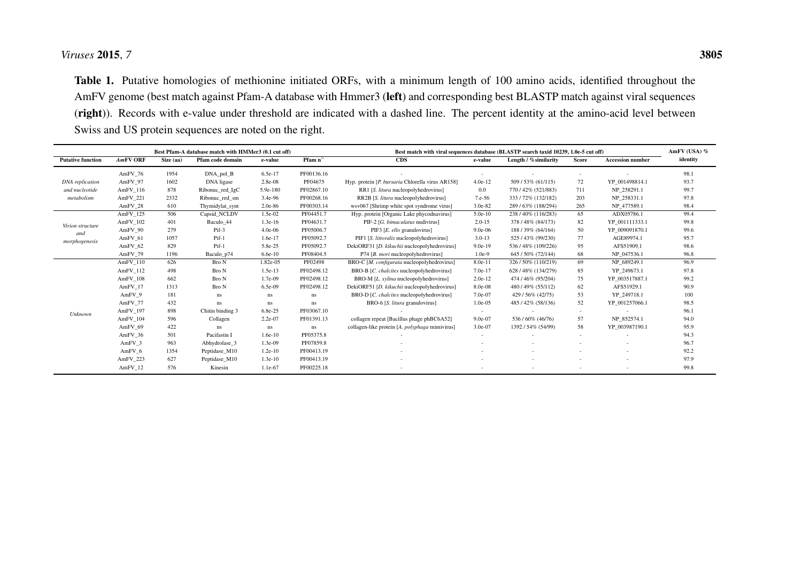# *Viruses* <sup>2015</sup>, *<sup>7</sup>*

Table 1. Putative homologies of methionine initiated ORFs, with <sup>a</sup> minimum length of 100 amino acids, identified throughout theAmFV genome (best match against Pfam-A database with Hmmer3 (left) and corresponding best BLASTP match against viral sequences(right)). Records with e-value under threshold are indicated with <sup>a</sup> dashed line. The percen<sup>t</sup> identity at the amino-acid level betweenSwiss and US protein sequences are noted on the right.

<span id="page-7-0"></span>

|                                          | Best Pfam-A database match with HMMer3 (0.1 cut off) |           |                  |           |                         | Best match with viral sequences database (BLASTP search taxid 10239, 1.0e-5 cut off) |                          |                       |        |                         | AmFV (USA) % |
|------------------------------------------|------------------------------------------------------|-----------|------------------|-----------|-------------------------|--------------------------------------------------------------------------------------|--------------------------|-----------------------|--------|-------------------------|--------------|
| <b>Putative function</b>                 | <b>AmFV ORF</b>                                      | Size (aa) | Pfam code domain | e-value   | <b>Pfam</b> $n^{\circ}$ | CDS                                                                                  | e-value                  | Length / % similarity | Score  | <b>Accession number</b> | identity     |
|                                          | AmFV 76                                              | 1954      | $DNA\_pol_B$     | 6.5e-17   | PF00136.16              |                                                                                      | $\overline{\phantom{a}}$ |                       | $\sim$ |                         | 98.1         |
| <b>DNA</b> replication                   | AmFV 97                                              | 1602      | DNA ligase       | 2.8e-08   | PF04675                 | Hyp. protein [P. bursaria Chlorella virus AR158]                                     | $4.0e-12$                | 509/53% (61/115)      | 72     | YP 001498814.1          | 93.7         |
| and nucleotide                           | AmFV 116                                             | 878       | Ribonuc_red_IgC  | 5.9e-180  | PF02867.10              | RR1 [S. litura nucleopolyhedrovirus]                                                 | 0.0                      | 770/42% (521/883)     | 711    | NP 258291.1             | 99.7         |
| metabolism                               | AmFV 221                                             | 2332      | Ribonuc red sm   | 3.4e-96   | PF00268.16              | RR2B [S. litura nucleopolyhedrovirus]                                                | $7.e-56$                 | 333/72% (132/182)     | 203    | NP 258331.1             | 97.8         |
|                                          | AmFV 28                                              | 610       | Thymidylat_synt  | $2.0e-86$ | PF00303.14              | wsv067 [Shrimp white spot syndrome virus]                                            | 3.0e-82                  | 289/63% (188/294)     | 265    | NP 477589.1             | 98.4         |
| Virion structure<br>and<br>morphogenesis | AmFV 125                                             | 506       | Capsid NCLDV     | $1.5e-02$ | PF04451.7               | Hyp. protein [Organic Lake phycodnavirus]                                            | $5.0e-10$                | 238/40% (116/283)     | 65     | ADX05786.1              | 99.4         |
|                                          | AmFV 102                                             | 401       | Baculo 44        | $1.3e-16$ | PF04631.7               | PIF-2 [G. bimaculatus nudivirus]                                                     | $2.0 - 15$               | 378/48% (84/173)      | 82     | YP 001111333.1          | 99.8         |
|                                          | AmFV 90                                              | 279       | Pif-3            | $4.0e-06$ | PF05006.7               | PIF3 [E. ello granulovirus]                                                          | $9.0e-06$                | 188 / 39% (64/164)    | 50     | YP 009091870.1          | 99.6         |
|                                          | AmFV 61                                              | 1057      | $Pif-1$          | 1.6e-17   | PF05092.7               | PIF1 [S. littoralis nucleopolyhedrovirus]                                            | $3.0 - 13$               | 525/43% (99/230)      | 77     | AGE89974.1              | 95.7         |
|                                          | AmFV 62                                              | 829       | $Pif-1$          | 5.8e-25   | PF05092.7               | DekiORF31 [D. kikuchii nucleopolyhedrovirus]                                         | $9.0e-19$                | 536/48% (109/226)     | 95     | AFS51909.1              | 98.6         |
|                                          | AmFV 79                                              | 1196      | Baculo_p74       | $6.6e-10$ | PF08404.5               | P74 [B. mori nucleopolyhedrovirus]                                                   | $1.0e-9$                 | 645 / 50% (72/144)    | 68     | NP 047536.1             | 96.8         |
| Unknown                                  | AmFV 110                                             | 626       | Bro N            | 1.82e-05  | PF02498                 | BRO-C [M. configurata nucleopolyhedrovirus]                                          | 8.0e-11                  | 326/50% (110/219)     | 69     | NP 689249.1             | 96.9         |
|                                          | AmFV 112                                             | 498       | Bro N            | $1.5e-13$ | PF02498.12              | BRO-B [C. chalcites nucleopolyhedrovirus]                                            | $7.0e-17$                | 628/48% (134/279)     | 85     | YP 249673.1             | 97.8         |
|                                          | AmFV 108                                             | 662       | Bro N            | $1.7e-09$ | PF02498.12              | BRO-M [L. xylina nucleopolyhedrovirus]                                               | $2.0e-12$                | 474 / 46% (95/204)    | 75     | YP 003517887.1          | 99.2         |
|                                          | AmFV 17                                              | 1313      | <b>Bro N</b>     | 6.5e-09   | PF02498.12              | DekiORF51 [D. kikuchii nucleopolyhedrovirus]                                         | 8.0e-08                  | 480/49% (55/112)      | 62     | AFS51929.1              | 90.9         |
|                                          | AmFV 9                                               | 181       | ns.              | ns        | <b>ns</b>               | BRO-D [C. chalcites nucleopolyhedrovirus]                                            | 7.0e-07                  | 429 / 56% (42/75)     | 53     | YP 249718.1             | 100          |
|                                          | AmFV 77                                              | 432       | ns.              | ns        | <b>ns</b>               | BRO-6 [S. litura granulovirus]                                                       | $1.0e-05$                | 485/42% (58/136)      | 52     | YP 001257066.1          | 98.5         |
|                                          | AmFV 197                                             | 898       | Chitin binding 3 | 6.8e-25   | PF03067.10              |                                                                                      |                          |                       | $\sim$ |                         | 96.1         |
|                                          | AmFV 104                                             | 596       | Collagen         | 2.2e-07   | PF01391.13              | collagen repeat [Bacillus phage phBC6A52]                                            | $9.0e-07$                | 536/60% (46/76)       | 57     | NP 852574.1             | 94.0         |
|                                          | AmFV 69                                              | 422       | ns               | ns        | ns                      | collagen-like protein [A. polyphaga mimivirus]                                       | 3.0e-07                  | 1392 / 54% (54/99)    | 58     | YP 003987190.1          | 95.9         |
|                                          | AmFV 36                                              | 501       | Pacifastin I     | $1.6e-10$ | PF05375.8               |                                                                                      |                          |                       | $\sim$ |                         | 94.3         |
|                                          | AmFV 3                                               | 963       | Abhydrolase 3    | $1.3e-09$ | PF07859.8               |                                                                                      |                          |                       |        |                         | 96.7         |
|                                          | AmFV 6                                               | 1354      | Peptidase M10    | $1.2e-10$ | PF00413.19              |                                                                                      |                          |                       |        |                         | 92.2         |
|                                          | AmFV 223                                             | 627       | Peptidase M10    | $1.3e-10$ | PF00413.19              |                                                                                      |                          |                       |        |                         | 97.9         |
|                                          | AmFV 12                                              | 576       | Kinesin          | 1.1e-67   | PF00225.18              |                                                                                      |                          |                       |        |                         | 99.8         |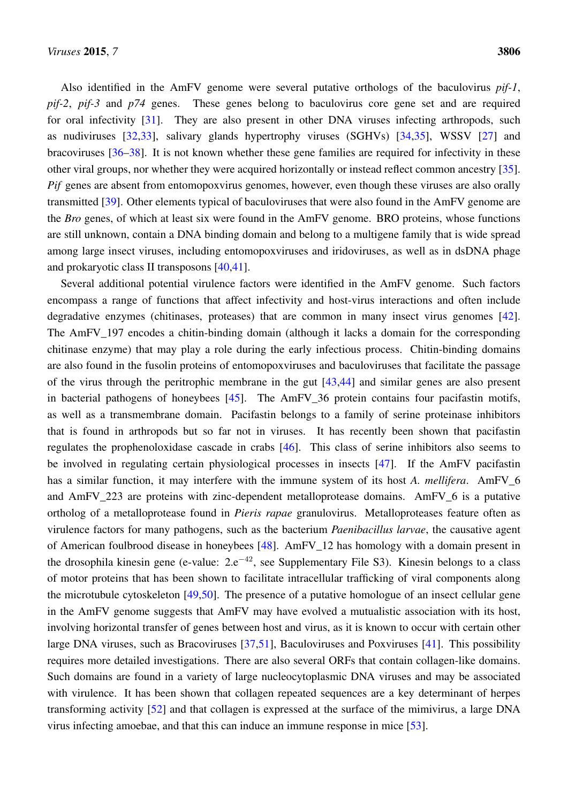Also identified in the AmFV genome were several putative orthologs of the baculovirus *pif-1*, *pif-2*, *pif-3* and *p74* genes. These genes belong to baculovirus core gene set and are required for oral infectivity [\[31\]](#page-15-1). They are also present in other DNA viruses infecting arthropods, such as nudiviruses [\[32](#page-15-2)[,33\]](#page-15-3), salivary glands hypertrophy viruses (SGHVs) [\[34](#page-15-4)[,35\]](#page-15-5), WSSV [\[27\]](#page-14-12) and bracoviruses [\[36](#page-15-6)[–38\]](#page-15-7). It is not known whether these gene families are required for infectivity in these other viral groups, nor whether they were acquired horizontally or instead reflect common ancestry [\[35\]](#page-15-5). *Pif* genes are absent from entomopoxvirus genomes, however, even though these viruses are also orally transmitted [\[39\]](#page-15-8). Other elements typical of baculoviruses that were also found in the AmFV genome are the *Bro* genes, of which at least six were found in the AmFV genome. BRO proteins, whose functions are still unknown, contain a DNA binding domain and belong to a multigene family that is wide spread among large insect viruses, including entomopoxviruses and iridoviruses, as well as in dsDNA phage and prokaryotic class II transposons [\[40,](#page-15-9)[41\]](#page-15-10).

Several additional potential virulence factors were identified in the AmFV genome. Such factors encompass a range of functions that affect infectivity and host-virus interactions and often include degradative enzymes (chitinases, proteases) that are common in many insect virus genomes [\[42\]](#page-15-11). The AmFV 197 encodes a chitin-binding domain (although it lacks a domain for the corresponding chitinase enzyme) that may play a role during the early infectious process. Chitin-binding domains are also found in the fusolin proteins of entomopoxviruses and baculoviruses that facilitate the passage of the virus through the peritrophic membrane in the gut [\[43](#page-16-0)[,44\]](#page-16-1) and similar genes are also present in bacterial pathogens of honeybees [\[45\]](#page-16-2). The AmFV\_36 protein contains four pacifastin motifs, as well as a transmembrane domain. Pacifastin belongs to a family of serine proteinase inhibitors that is found in arthropods but so far not in viruses. It has recently been shown that pacifastin regulates the prophenoloxidase cascade in crabs [\[46\]](#page-16-3). This class of serine inhibitors also seems to be involved in regulating certain physiological processes in insects [\[47\]](#page-16-4). If the AmFV pacifastin has a similar function, it may interfere with the immune system of its host *A. mellifera*. AmFV\_6 and AmFV 223 are proteins with zinc-dependent metalloprotease domains. AmFV 6 is a putative ortholog of a metalloprotease found in *Pieris rapae* granulovirus. Metalloproteases feature often as virulence factors for many pathogens, such as the bacterium *Paenibacillus larvae*, the causative agent of American foulbrood disease in honeybees [\[48\]](#page-16-5). AmFV\_12 has homology with a domain present in the drosophila kinesin gene (e-value:  $2.e^{-42}$ , see Supplementary File S3). Kinesin belongs to a class of motor proteins that has been shown to facilitate intracellular trafficking of viral components along the microtubule cytoskeleton [\[49](#page-16-6)[,50\]](#page-16-7). The presence of a putative homologue of an insect cellular gene in the AmFV genome suggests that AmFV may have evolved a mutualistic association with its host, involving horizontal transfer of genes between host and virus, as it is known to occur with certain other large DNA viruses, such as Bracoviruses [\[37,](#page-15-12)[51\]](#page-16-8), Baculoviruses and Poxviruses [\[41\]](#page-15-10). This possibility requires more detailed investigations. There are also several ORFs that contain collagen-like domains. Such domains are found in a variety of large nucleocytoplasmic DNA viruses and may be associated with virulence. It has been shown that collagen repeated sequences are a key determinant of herpes transforming activity [\[52\]](#page-16-9) and that collagen is expressed at the surface of the mimivirus, a large DNA virus infecting amoebae, and that this can induce an immune response in mice [\[53\]](#page-16-10).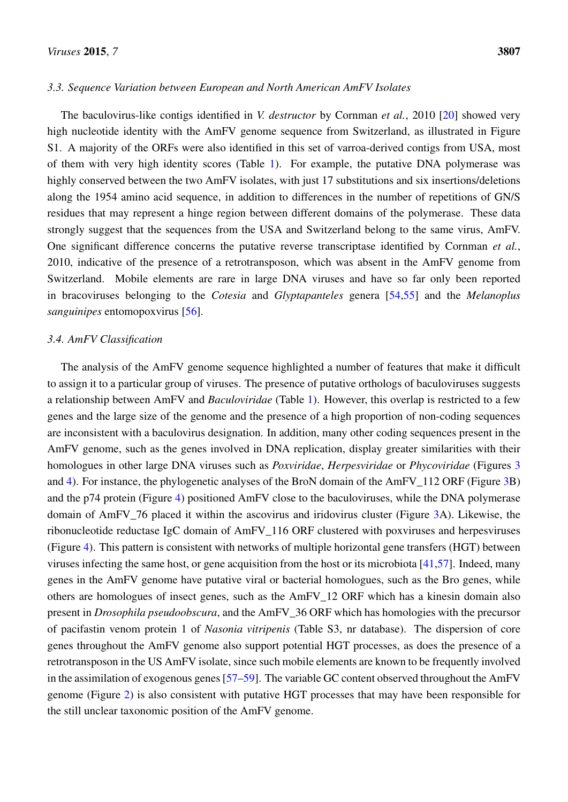## *3.3. Sequence Variation between European and North American AmFV Isolates*

The baculovirus-like contigs identified in *V. destructor* by Cornman *et al.*, 2010 [\[20\]](#page-14-5) showed very high nucleotide identity with the AmFV genome sequence from Switzerland, as illustrated in Figure S1. A majority of the ORFs were also identified in this set of varroa-derived contigs from USA, most of them with very high identity scores (Table [1\)](#page-7-0). For example, the putative DNA polymerase was highly conserved between the two AmFV isolates, with just 17 substitutions and six insertions/deletions along the 1954 amino acid sequence, in addition to differences in the number of repetitions of GN/S residues that may represent a hinge region between different domains of the polymerase. These data strongly suggest that the sequences from the USA and Switzerland belong to the same virus, AmFV. One significant difference concerns the putative reverse transcriptase identified by Cornman *et al.*, 2010, indicative of the presence of a retrotransposon, which was absent in the AmFV genome from Switzerland. Mobile elements are rare in large DNA viruses and have so far only been reported in bracoviruses belonging to the *Cotesia* and *Glyptapanteles* genera [\[54](#page-16-11)[,55\]](#page-16-12) and the *Melanoplus sanguinipes* entomopoxvirus [\[56\]](#page-16-13).

## *3.4. AmFV Classification*

The analysis of the AmFV genome sequence highlighted a number of features that make it difficult to assign it to a particular group of viruses. The presence of putative orthologs of baculoviruses suggests a relationship between AmFV and *Baculoviridae* (Table [1\)](#page-7-0). However, this overlap is restricted to a few genes and the large size of the genome and the presence of a high proportion of non-coding sequences are inconsistent with a baculovirus designation. In addition, many other coding sequences present in the AmFV genome, such as the genes involved in DNA replication, display greater similarities with their homologues in other large DNA viruses such as *Poxviridae*, *Herpesviridae* or *Phycoviridae* (Figures [3](#page-6-0) and [4\)](#page-10-0). For instance, the phylogenetic analyses of the BroN domain of the AmFV\_112 ORF (Figure [3B](#page-6-0)) and the p74 protein (Figure [4\)](#page-10-0) positioned AmFV close to the baculoviruses, while the DNA polymerase domain of AmFV\_76 placed it within the ascovirus and iridovirus cluster (Figure [3A](#page-6-0)). Likewise, the ribonucleotide reductase IgC domain of AmFV\_116 ORF clustered with poxviruses and herpesviruses (Figure [4\)](#page-10-0). This pattern is consistent with networks of multiple horizontal gene transfers (HGT) between viruses infecting the same host, or gene acquisition from the host or its microbiota [\[41,](#page-15-10)[57\]](#page-17-0). Indeed, many genes in the AmFV genome have putative viral or bacterial homologues, such as the Bro genes, while others are homologues of insect genes, such as the AmFV\_12 ORF which has a kinesin domain also present in *Drosophila pseudoobscura*, and the AmFV\_36 ORF which has homologies with the precursor of pacifastin venom protein 1 of *Nasonia vitripenis* (Table S3, nr database). The dispersion of core genes throughout the AmFV genome also support potential HGT processes, as does the presence of a retrotransposon in the US AmFV isolate, since such mobile elements are known to be frequently involved in the assimilation of exogenous genes [\[57](#page-17-0)[–59\]](#page-17-1). The variable GC content observed throughout the AmFV genome (Figure [2\)](#page-4-0) is also consistent with putative HGT processes that may have been responsible for the still unclear taxonomic position of the AmFV genome.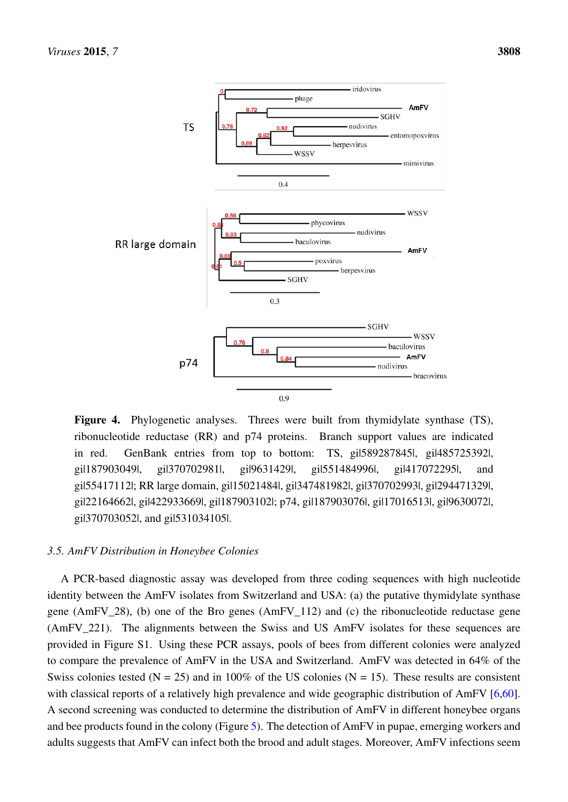<span id="page-10-0"></span>

**Figure 4.** Phylogenetic analyses. Threes were built from thymidylate synthase (TS), Figure 4. Phylogenetic analyses. Threes were built from thymidylate synthase (TS), ribonucleotide reductase (RR) and p74 proteins. Branch support values are indicated in red. GenBank entries from top to bottom: TS, gil589287845l, gil485725392l,  $g11879030491, \quad g113707029811, \quad g1196314291, \quad g115514849961, \quad g114170722951, \quad \text{and}$ gil55417112l; RR large domain, gil15021484l, gil347481982l, gil370702993l, gil294471329l, gi|422933669|, gi|187903102|; p74, gi|187903076|, gi|17016513|, gi|9630072|, gi|370703052|, gi|22164662|, gi|422933669|, gi|187903102|; p74, gi|187903076|, gi|17016513|, gi|9630072|, and gi|531034105|. gi|370703052|, and gi|531034105|. gi|187903049|, gi|370702981|, gi|9631429|, gi|551484996|, gi|417072295|, and

# *3.5. AmFV Distribution in Honeybee Colonies 3.5. AmFV Distribution in Honeybee Colonies*

A PCR-based diagnostic assay was developed from three coding sequences with high nucleotide A PCR-based diagnostic assay was developed from three coding sequences with high nucleotide identity between the AmFV isolates from Switzerland and USA: (a) the putative thymidylate synthase identity between the AmFV isolates from Switzerland and USA: (a) the putative thymidylate synthase gene (AmFV\_28), (b) one of the Bro genes (AmFV\_112) and (c) the ribonucleotide reductase gene gene (AmFV\_28), (b) one of the Bro genes (AmFV\_112) and (c) the ribonucleotide reductase gene (AmFV\_221). The alignments between the Swiss and US AmFV isolates for these sequences are (AmFV\_221). The alignments between the Swiss and US AmFV isolates for these sequences are provided in Figure S1. Using these PCR assays, pools of bees from different colonies were analyzed to compare the prevalence of AmFV in the USA and Switzerland. AmFV was detected in 64% of the Swiss colonies tested ( $N = 25$ ) and in 100% of the US colonies ( $N = 15$ ). These results are consistent with classical reports of a relatively high prevalence and wide geographic distribution of AmFV [\[6,](#page-13-5)[60\]](#page-17-2). A second screening was conducted to determine the distribution of AmFV in different honeybee organs A second screening was conducted to determine the distribution of AmFV in different honeybee organs and bee products found in the colony (Figure 5). The detection of AmFV in pupae, emerging workers and bee products found in the colony (Figure [5\)](#page-11-0). The detection of AmFV in pupae, emerging workers and adults suggests that AmFV can infect both the brood and adult stages. Moreover, AmFV infections seem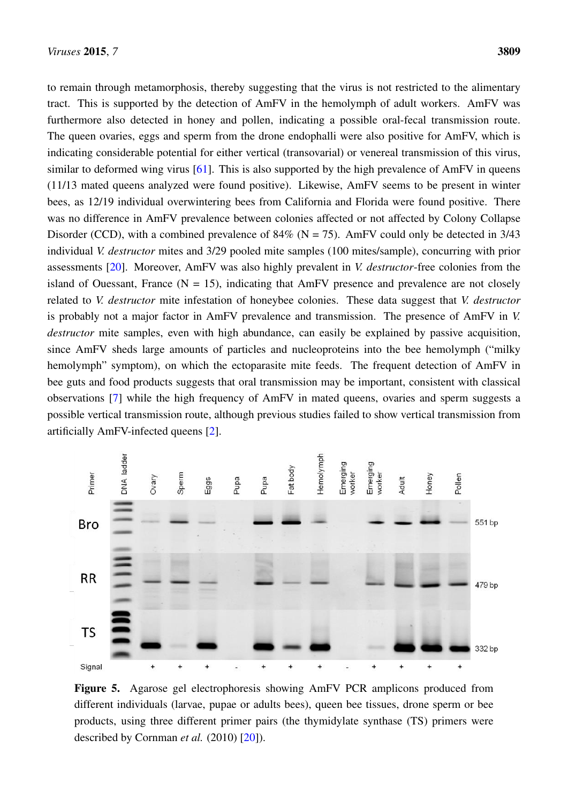to remain through metamorphosis, thereby suggesting that the virus is not restricted to the alimentary tract. This is supported by the detection of AmFV in the hemolymph of adult workers. AmFV was tract. This is supported by the detection of AmFV in the hemolymph of adult workers. AmFV was furthermore also detected in honey and pollen, indicating a possible oral-fecal transmission route. The queen ovaries, eggs and sperm from the drone endophalli were also positive for AmFV, which is indicating considerable potential for either vertical (transovarial) or venereal transmission of this virus, indicating considerable potential for either vertical (transovarial) or venereal transmission of this virus, similar to deformed wing virus [\[61\]](#page-17-3). This is also supported by the high prevalence of AmFV in queens (11/13 mated queens analyzed were found positive). Likewise, AmFV seems to be present in winter (11/13 mated queens analyzed were found positive). Likewise, AmFV seems to be present in winter bees, as 12/19 individual overwintering bees from California and Florida were found positive. There was no difference in AmFV prevalence between colonies affected or not affected by Colony Collapse Disorder (CCD), with a combined prevalence of  $84\%$  (N = 75). AmFV could only be detected in 3/43 individual *V. destructor* mites and 3/29 pooled mite samples (100 mites/sample), concurring with prior individual *V. destructor* mites and 3/29 pooled mite samples (100 mites/sample), concurring with prior assessments [\[20\]](#page-14-5). Moreover, AmFV was also highly prevalent in *V. destructor*-free colonies from the assessments [20]. Moreover, AmFV was also highly prevalent in *V. destructor*-free colonies from the island of Ouessant, France  $(N = 15)$ , indicating that AmFV presence and prevalence are not closely related to V. *destructor* mite infestation of honeybee colonies. These data suggest that V. *destructor* is probably not a major factor in AmFV prevalence and transmission. The presence of AmFV in *V*. destructor mite samples, even with high abundance, can easily be explained by passive acquisition, since AmFV sheds large amounts of particles and nucleoproteins into the bee hemolymph ("milky since AmFV sheds large amounts of particles and nucleoproteins into the bee hemolymph ("milky hemolymph" symptom), on which the ectoparasite mite feeds. The frequent detection of AmFV in bee guts and food products suggests that oral transmission may be important, consistent with classical observations [\[7\]](#page-13-6) while the high frequency of AmFV in mated queens, ovaries and sperm suggests a observations [7] while the high frequency of AmFV in mated queens, ovaries and sperm suggests a possible vertical transmission route, although previous studies failed to show vertical transmission from possible vertical transmission route, although previous studies failed to show vertical transmission from artificially AmFV-infected queens [\[2\]](#page-13-1). artificially AmFV-infected queens [2].

<span id="page-11-0"></span>

**Figure 5.** Agarose gel electrophoresis showing AmFV PCR amplicons produced from different individuals (larvae, pupae or adults bees), queen bee tissues, drone sperm or bee products, using three different primer pairs (the thymidylate synthase (TS) primers were products, using three different primer pairs (the thymidylate synthase (TS) primers were described by Cornman *et al.* (2010) [20]). described by Cornman *et al.* (2010) [\[20\]](#page-14-5)).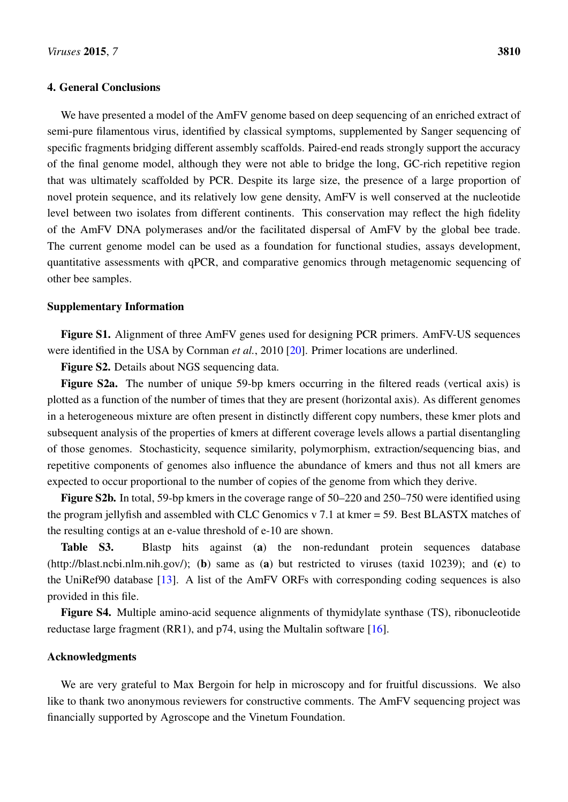## 4. General Conclusions

We have presented a model of the AmFV genome based on deep sequencing of an enriched extract of semi-pure filamentous virus, identified by classical symptoms, supplemented by Sanger sequencing of specific fragments bridging different assembly scaffolds. Paired-end reads strongly support the accuracy of the final genome model, although they were not able to bridge the long, GC-rich repetitive region that was ultimately scaffolded by PCR. Despite its large size, the presence of a large proportion of novel protein sequence, and its relatively low gene density, AmFV is well conserved at the nucleotide level between two isolates from different continents. This conservation may reflect the high fidelity of the AmFV DNA polymerases and/or the facilitated dispersal of AmFV by the global bee trade. The current genome model can be used as a foundation for functional studies, assays development, quantitative assessments with qPCR, and comparative genomics through metagenomic sequencing of other bee samples.

## Supplementary Information

Figure S1. Alignment of three AmFV genes used for designing PCR primers. AmFV-US sequences were identified in the USA by Cornman *et al.*, 2010 [\[20\]](#page-14-5). Primer locations are underlined.

Figure S2. Details about NGS sequencing data.

Figure S2a. The number of unique 59-bp kmers occurring in the filtered reads (vertical axis) is plotted as a function of the number of times that they are present (horizontal axis). As different genomes in a heterogeneous mixture are often present in distinctly different copy numbers, these kmer plots and subsequent analysis of the properties of kmers at different coverage levels allows a partial disentangling of those genomes. Stochasticity, sequence similarity, polymorphism, extraction/sequencing bias, and repetitive components of genomes also influence the abundance of kmers and thus not all kmers are expected to occur proportional to the number of copies of the genome from which they derive.

Figure S2b. In total, 59-bp kmers in the coverage range of 50–220 and 250–750 were identified using the program jellyfish and assembled with CLC Genomics v 7.1 at kmer = 59. Best BLASTX matches of the resulting contigs at an e-value threshold of e-10 are shown.

Table S3. Blastp hits against (a) the non-redundant protein sequences database (http://blast.ncbi.nlm.nih.gov/); (b) same as (a) but restricted to viruses (taxid 10239); and (c) to the UniRef90 database [\[13\]](#page-13-12). A list of the AmFV ORFs with corresponding coding sequences is also provided in this file.

Figure S4. Multiple amino-acid sequence alignments of thymidylate synthase (TS), ribonucleotide reductase large fragment (RR1), and p74, using the Multalin software [\[16\]](#page-14-1).

## Acknowledgments

We are very grateful to Max Bergoin for help in microscopy and for fruitful discussions. We also like to thank two anonymous reviewers for constructive comments. The AmFV sequencing project was financially supported by Agroscope and the Vinetum Foundation.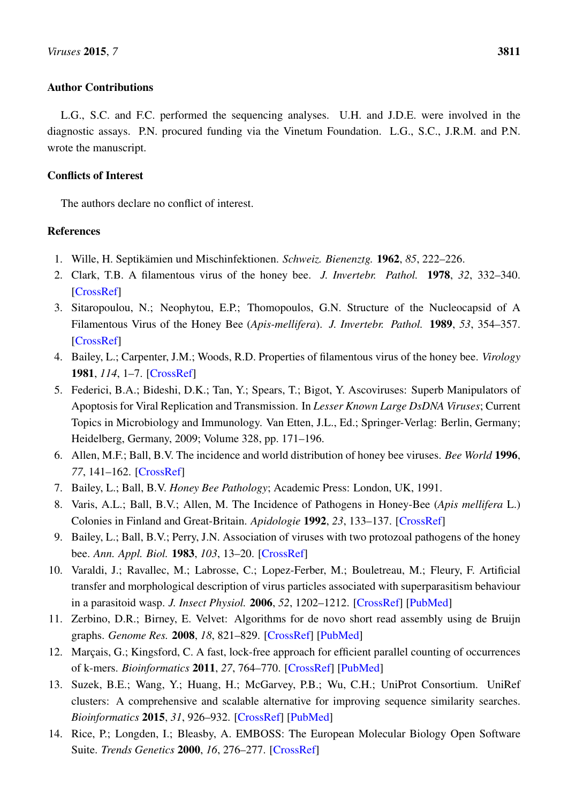## Author Contributions

L.G., S.C. and F.C. performed the sequencing analyses. U.H. and J.D.E. were involved in the diagnostic assays. P.N. procured funding via the Vinetum Foundation. L.G., S.C., J.R.M. and P.N. wrote the manuscript.

# Conflicts of Interest

The authors declare no conflict of interest.

# References

- <span id="page-13-0"></span>1. Wille, H. Septikämien und Mischinfektionen. *Schweiz. Bienenztg.* 1962, *85*, 222–226.
- <span id="page-13-1"></span>2. Clark, T.B. A filamentous virus of the honey bee. *J. Invertebr. Pathol.* 1978, *32*, 332–340. [\[CrossRef\]](http://dx.doi.org/10.1016/0022-2011(78)90197-0)
- <span id="page-13-2"></span>3. Sitaropoulou, N.; Neophytou, E.P.; Thomopoulos, G.N. Structure of the Nucleocapsid of A Filamentous Virus of the Honey Bee (*Apis-mellifera*). *J. Invertebr. Pathol.* 1989, *53*, 354–357. [\[CrossRef\]](http://dx.doi.org/10.1016/0022-2011(89)90099-2)
- <span id="page-13-3"></span>4. Bailey, L.; Carpenter, J.M.; Woods, R.D. Properties of filamentous virus of the honey bee. *Virology* 1981, *114*, 1–7. [\[CrossRef\]](http://dx.doi.org/10.1016/0042-6822(81)90247-6)
- <span id="page-13-4"></span>5. Federici, B.A.; Bideshi, D.K.; Tan, Y.; Spears, T.; Bigot, Y. Ascoviruses: Superb Manipulators of Apoptosis for Viral Replication and Transmission. In *Lesser Known Large DsDNA Viruses*; Current Topics in Microbiology and Immunology. Van Etten, J.L., Ed.; Springer-Verlag: Berlin, Germany; Heidelberg, Germany, 2009; Volume 328, pp. 171–196.
- <span id="page-13-5"></span>6. Allen, M.F.; Ball, B.V. The incidence and world distribution of honey bee viruses. *Bee World* 1996, *77*, 141–162. [\[CrossRef\]](http://dx.doi.org/10.1080/0005772X.1996.11099306)
- <span id="page-13-6"></span>7. Bailey, L.; Ball, B.V. *Honey Bee Pathology*; Academic Press: London, UK, 1991.
- <span id="page-13-7"></span>8. Varis, A.L.; Ball, B.V.; Allen, M. The Incidence of Pathogens in Honey-Bee (*Apis mellifera* L.) Colonies in Finland and Great-Britain. *Apidologie* 1992, *23*, 133–137. [\[CrossRef\]](http://dx.doi.org/10.1051/apido:19920205)
- <span id="page-13-8"></span>9. Bailey, L.; Ball, B.V.; Perry, J.N. Association of viruses with two protozoal pathogens of the honey bee. *Ann. Appl. Biol.* 1983, *103*, 13–20. [\[CrossRef\]](http://dx.doi.org/10.1111/j.1744-7348.1983.tb02735.x)
- <span id="page-13-9"></span>10. Varaldi, J.; Ravallec, M.; Labrosse, C.; Lopez-Ferber, M.; Bouletreau, M.; Fleury, F. Artificial transfer and morphological description of virus particles associated with superparasitism behaviour in a parasitoid wasp. *J. Insect Physiol.* 2006, *52*, 1202–1212. [\[CrossRef\]](http://dx.doi.org/10.1016/j.jinsphys.2006.09.002) [\[PubMed\]](http://www.ncbi.nlm.nih.gov/pubmed/17070831)
- <span id="page-13-10"></span>11. Zerbino, D.R.; Birney, E. Velvet: Algorithms for de novo short read assembly using de Bruijn graphs. *Genome Res.* 2008, *18*, 821–829. [\[CrossRef\]](http://dx.doi.org/10.1101/gr.074492.107) [\[PubMed\]](http://www.ncbi.nlm.nih.gov/pubmed/18349386)
- <span id="page-13-11"></span>12. Marçais, G.; Kingsford, C. A fast, lock-free approach for efficient parallel counting of occurrences of k-mers. *Bioinformatics* 2011, *27*, 764–770. [\[CrossRef\]](http://dx.doi.org/10.1093/bioinformatics/btr011) [\[PubMed\]](http://www.ncbi.nlm.nih.gov/pubmed/21217122)
- <span id="page-13-12"></span>13. Suzek, B.E.; Wang, Y.; Huang, H.; McGarvey, P.B.; Wu, C.H.; UniProt Consortium. UniRef clusters: A comprehensive and scalable alternative for improving sequence similarity searches. *Bioinformatics* 2015, *31*, 926–932. [\[CrossRef\]](http://dx.doi.org/10.1093/bioinformatics/btu739) [\[PubMed\]](http://www.ncbi.nlm.nih.gov/pubmed/25398609)
- <span id="page-13-13"></span>14. Rice, P.; Longden, I.; Bleasby, A. EMBOSS: The European Molecular Biology Open Software Suite. *Trends Genetics* 2000, *16*, 276–277. [\[CrossRef\]](http://dx.doi.org/10.1016/S0168-9525(00)02024-2)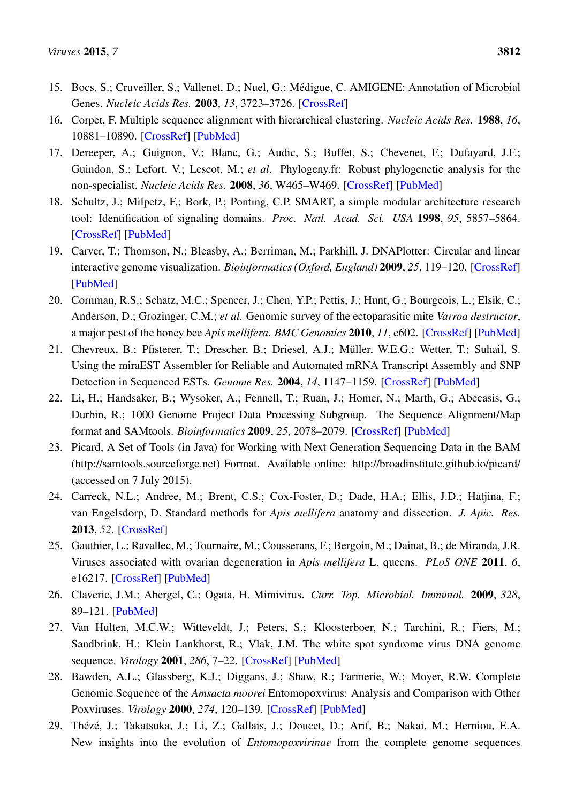- <span id="page-14-0"></span>15. Bocs, S.; Cruveiller, S.; Vallenet, D.; Nuel, G.; Médigue, C. AMIGENE: Annotation of Microbial Genes. *Nucleic Acids Res.* 2003, *13*, 3723–3726. [\[CrossRef\]](http://dx.doi.org/10.1093/nar/gkg590)
- <span id="page-14-1"></span>16. Corpet, F. Multiple sequence alignment with hierarchical clustering. *Nucleic Acids Res.* 1988, *16*, 10881–10890. [\[CrossRef\]](http://dx.doi.org/10.1093/nar/16.22.10881) [\[PubMed\]](http://www.ncbi.nlm.nih.gov/pubmed/2849754)
- <span id="page-14-2"></span>17. Dereeper, A.; Guignon, V.; Blanc, G.; Audic, S.; Buffet, S.; Chevenet, F.; Dufayard, J.F.; Guindon, S.; Lefort, V.; Lescot, M.; *et al*. Phylogeny.fr: Robust phylogenetic analysis for the non-specialist. *Nucleic Acids Res.* 2008, *36*, W465–W469. [\[CrossRef\]](http://dx.doi.org/10.1093/nar/gkn180) [\[PubMed\]](http://www.ncbi.nlm.nih.gov/pubmed/18424797)
- <span id="page-14-3"></span>18. Schultz, J.; Milpetz, F.; Bork, P.; Ponting, C.P. SMART, a simple modular architecture research tool: Identification of signaling domains. *Proc. Natl. Acad. Sci. USA* 1998, *95*, 5857–5864. [\[CrossRef\]](http://dx.doi.org/10.1073/pnas.95.11.5857) [\[PubMed\]](http://www.ncbi.nlm.nih.gov/pubmed/9600884)
- <span id="page-14-4"></span>19. Carver, T.; Thomson, N.; Bleasby, A.; Berriman, M.; Parkhill, J. DNAPlotter: Circular and linear interactive genome visualization. *Bioinformatics (Oxford, England)* 2009, *25*, 119–120. [\[CrossRef\]](http://dx.doi.org/10.1093/bioinformatics/btn578) [\[PubMed\]](http://www.ncbi.nlm.nih.gov/pubmed/18990721)
- <span id="page-14-5"></span>20. Cornman, R.S.; Schatz, M.C.; Spencer, J.; Chen, Y.P.; Pettis, J.; Hunt, G.; Bourgeois, L.; Elsik, C.; Anderson, D.; Grozinger, C.M.; *et al*. Genomic survey of the ectoparasitic mite *Varroa destructor*, a major pest of the honey bee *Apis mellifera*. *BMC Genomics* 2010, *11*, e602. [\[CrossRef\]](http://dx.doi.org/10.1186/1471-2164-11-602) [\[PubMed\]](http://www.ncbi.nlm.nih.gov/pubmed/20973996)
- <span id="page-14-6"></span>21. Chevreux, B.; Pfisterer, T.; Drescher, B.; Driesel, A.J.; Müller, W.E.G.; Wetter, T.; Suhail, S. Using the miraEST Assembler for Reliable and Automated mRNA Transcript Assembly and SNP Detection in Sequenced ESTs. *Genome Res.* 2004, *14*, 1147–1159. [\[CrossRef\]](http://dx.doi.org/10.1101/gr.1917404) [\[PubMed\]](http://www.ncbi.nlm.nih.gov/pubmed/15140833)
- <span id="page-14-7"></span>22. Li, H.; Handsaker, B.; Wysoker, A.; Fennell, T.; Ruan, J.; Homer, N.; Marth, G.; Abecasis, G.; Durbin, R.; 1000 Genome Project Data Processing Subgroup. The Sequence Alignment/Map format and SAMtools. *Bioinformatics* 2009, *25*, 2078–2079. [\[CrossRef\]](http://dx.doi.org/10.1093/bioinformatics/btp352) [\[PubMed\]](http://www.ncbi.nlm.nih.gov/pubmed/19505943)
- <span id="page-14-8"></span>23. Picard, A Set of Tools (in Java) for Working with Next Generation Sequencing Data in the BAM (http://samtools.sourceforge.net) Format. Available online: http://broadinstitute.github.io/picard/ (accessed on 7 July 2015).
- <span id="page-14-9"></span>24. Carreck, N.L.; Andree, M.; Brent, C.S.; Cox-Foster, D.; Dade, H.A.; Ellis, J.D.; Hatjina, F.; van Engelsdorp, D. Standard methods for *Apis mellifera* anatomy and dissection. *J. Apic. Res.* 2013, *52*. [\[CrossRef\]](http://dx.doi.org/10.3896/IBRA.1.52.4.03)
- <span id="page-14-10"></span>25. Gauthier, L.; Ravallec, M.; Tournaire, M.; Cousserans, F.; Bergoin, M.; Dainat, B.; de Miranda, J.R. Viruses associated with ovarian degeneration in *Apis mellifera* L. queens. *PLoS ONE* 2011, *6*, e16217. [\[CrossRef\]](http://dx.doi.org/10.1371/journal.pone.0016217) [\[PubMed\]](http://www.ncbi.nlm.nih.gov/pubmed/21283547)
- <span id="page-14-11"></span>26. Claverie, J.M.; Abergel, C.; Ogata, H. Mimivirus. *Curr. Top. Microbiol. Immunol.* 2009, *328*, 89–121. [\[PubMed\]](http://www.ncbi.nlm.nih.gov/pubmed/19216436)
- <span id="page-14-12"></span>27. Van Hulten, M.C.W.; Witteveldt, J.; Peters, S.; Kloosterboer, N.; Tarchini, R.; Fiers, M.; Sandbrink, H.; Klein Lankhorst, R.; Vlak, J.M. The white spot syndrome virus DNA genome sequence. *Virology* 2001, *286*, 7–22. [\[CrossRef\]](http://dx.doi.org/10.1006/viro.2001.1002) [\[PubMed\]](http://www.ncbi.nlm.nih.gov/pubmed/11448154)
- <span id="page-14-13"></span>28. Bawden, A.L.; Glassberg, K.J.; Diggans, J.; Shaw, R.; Farmerie, W.; Moyer, R.W. Complete Genomic Sequence of the *Amsacta moorei* Entomopoxvirus: Analysis and Comparison with Other Poxviruses. *Virology* 2000, *274*, 120–139. [\[CrossRef\]](http://dx.doi.org/10.1006/viro.2000.0449) [\[PubMed\]](http://www.ncbi.nlm.nih.gov/pubmed/10936094)
- <span id="page-14-14"></span>29. Thézé, J.; Takatsuka, J.; Li, Z.; Gallais, J.; Doucet, D.; Arif, B.; Nakai, M.; Herniou, E.A. New insights into the evolution of *Entomopoxvirinae* from the complete genome sequences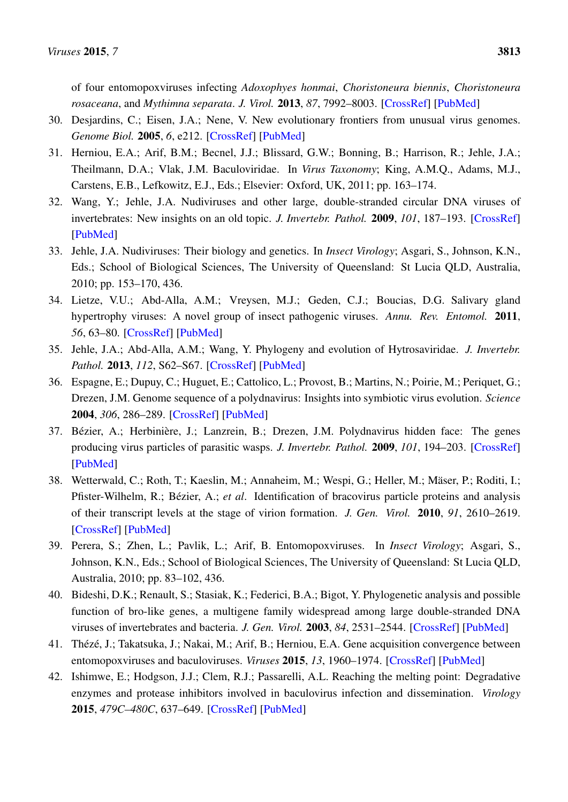of four entomopoxviruses infecting *Adoxophyes honmai*, *Choristoneura biennis*, *Choristoneura rosaceana*, and *Mythimna separata*. *J. Virol.* 2013, *87*, 7992–8003. [\[CrossRef\]](http://dx.doi.org/10.1128/JVI.00453-13) [\[PubMed\]](http://www.ncbi.nlm.nih.gov/pubmed/23678178)

- <span id="page-15-0"></span>30. Desjardins, C.; Eisen, J.A.; Nene, V. New evolutionary frontiers from unusual virus genomes. *Genome Biol.* 2005, *6*, e212. [\[CrossRef\]](http://dx.doi.org/10.1186/gb-2005-6-3-212) [\[PubMed\]](http://www.ncbi.nlm.nih.gov/pubmed/15774035)
- <span id="page-15-1"></span>31. Herniou, E.A.; Arif, B.M.; Becnel, J.J.; Blissard, G.W.; Bonning, B.; Harrison, R.; Jehle, J.A.; Theilmann, D.A.; Vlak, J.M. Baculoviridae. In *Virus Taxonomy*; King, A.M.Q., Adams, M.J., Carstens, E.B., Lefkowitz, E.J., Eds.; Elsevier: Oxford, UK, 2011; pp. 163–174.
- <span id="page-15-2"></span>32. Wang, Y.; Jehle, J.A. Nudiviruses and other large, double-stranded circular DNA viruses of invertebrates: New insights on an old topic. *J. Invertebr. Pathol.* 2009, *101*, 187–193. [\[CrossRef\]](http://dx.doi.org/10.1016/j.jip.2009.03.013) [\[PubMed\]](http://www.ncbi.nlm.nih.gov/pubmed/19460388)
- <span id="page-15-3"></span>33. Jehle, J.A. Nudiviruses: Their biology and genetics. In *Insect Virology*; Asgari, S., Johnson, K.N., Eds.; School of Biological Sciences, The University of Queensland: St Lucia QLD, Australia, 2010; pp. 153–170, 436.
- <span id="page-15-4"></span>34. Lietze, V.U.; Abd-Alla, A.M.; Vreysen, M.J.; Geden, C.J.; Boucias, D.G. Salivary gland hypertrophy viruses: A novel group of insect pathogenic viruses. *Annu. Rev. Entomol.* 2011, *56*, 63–80. [\[CrossRef\]](http://dx.doi.org/10.1146/annurev-ento-120709-144841) [\[PubMed\]](http://www.ncbi.nlm.nih.gov/pubmed/20662722)
- <span id="page-15-5"></span>35. Jehle, J.A.; Abd-Alla, A.M.; Wang, Y. Phylogeny and evolution of Hytrosaviridae. *J. Invertebr. Pathol.* 2013, *112*, S62–S67. [\[CrossRef\]](http://dx.doi.org/10.1016/j.jip.2012.07.015) [\[PubMed\]](http://www.ncbi.nlm.nih.gov/pubmed/22841640)
- <span id="page-15-6"></span>36. Espagne, E.; Dupuy, C.; Huguet, E.; Cattolico, L.; Provost, B.; Martins, N.; Poirie, M.; Periquet, G.; Drezen, J.M. Genome sequence of a polydnavirus: Insights into symbiotic virus evolution. *Science* 2004, *306*, 286–289. [\[CrossRef\]](http://dx.doi.org/10.1126/science.1103066) [\[PubMed\]](http://www.ncbi.nlm.nih.gov/pubmed/15472078)
- <span id="page-15-12"></span>37. Bézier, A.; Herbinière, J.; Lanzrein, B.; Drezen, J.M. Polydnavirus hidden face: The genes producing virus particles of parasitic wasps. *J. Invertebr. Pathol.* 2009, *101*, 194–203. [\[CrossRef\]](http://dx.doi.org/10.1016/j.jip.2009.04.006) [\[PubMed\]](http://www.ncbi.nlm.nih.gov/pubmed/19460382)
- <span id="page-15-7"></span>38. Wetterwald, C.; Roth, T.; Kaeslin, M.; Annaheim, M.; Wespi, G.; Heller, M.; Mäser, P.; Roditi, I.; Pfister-Wilhelm, R.; Bézier, A.; *et al*. Identification of bracovirus particle proteins and analysis of their transcript levels at the stage of virion formation. *J. Gen. Virol.* 2010, *91*, 2610–2619. [\[CrossRef\]](http://dx.doi.org/10.1099/vir.0.022699-0) [\[PubMed\]](http://www.ncbi.nlm.nih.gov/pubmed/20554796)
- <span id="page-15-8"></span>39. Perera, S.; Zhen, L.; Pavlik, L.; Arif, B. Entomopoxviruses. In *Insect Virology*; Asgari, S., Johnson, K.N., Eds.; School of Biological Sciences, The University of Queensland: St Lucia QLD, Australia, 2010; pp. 83–102, 436.
- <span id="page-15-9"></span>40. Bideshi, D.K.; Renault, S.; Stasiak, K.; Federici, B.A.; Bigot, Y. Phylogenetic analysis and possible function of bro-like genes, a multigene family widespread among large double-stranded DNA viruses of invertebrates and bacteria. *J. Gen. Virol.* 2003, *84*, 2531–2544. [\[CrossRef\]](http://dx.doi.org/10.1099/vir.0.19256-0) [\[PubMed\]](http://www.ncbi.nlm.nih.gov/pubmed/12917475)
- <span id="page-15-10"></span>41. Thézé, J.; Takatsuka, J.; Nakai, M.; Arif, B.; Herniou, E.A. Gene acquisition convergence between entomopoxviruses and baculoviruses. *Viruses* 2015, *13*, 1960–1974. [\[CrossRef\]](http://dx.doi.org/10.3390/v7041960) [\[PubMed\]](http://www.ncbi.nlm.nih.gov/pubmed/25871928)
- <span id="page-15-11"></span>42. Ishimwe, E.; Hodgson, J.J.; Clem, R.J.; Passarelli, A.L. Reaching the melting point: Degradative enzymes and protease inhibitors involved in baculovirus infection and dissemination. *Virology* 2015, *479C–480C*, 637–649. [\[CrossRef\]](http://dx.doi.org/10.1016/j.virol.2015.01.027) [\[PubMed\]](http://www.ncbi.nlm.nih.gov/pubmed/25724418)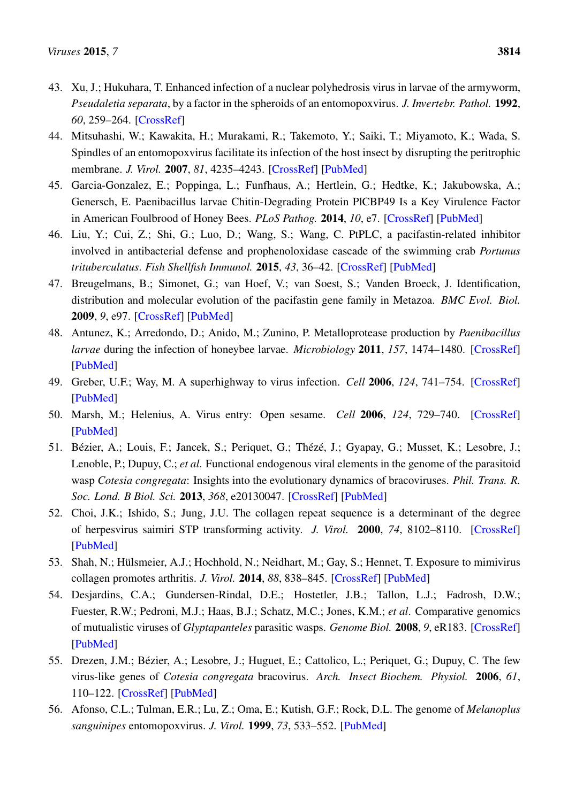- <span id="page-16-0"></span>43. Xu, J.; Hukuhara, T. Enhanced infection of a nuclear polyhedrosis virus in larvae of the armyworm, *Pseudaletia separata*, by a factor in the spheroids of an entomopoxvirus. *J. Invertebr. Pathol.* 1992, *60*, 259–264. [\[CrossRef\]](http://dx.doi.org/10.1016/0022-2011(92)90007-Q)
- <span id="page-16-1"></span>44. Mitsuhashi, W.; Kawakita, H.; Murakami, R.; Takemoto, Y.; Saiki, T.; Miyamoto, K.; Wada, S. Spindles of an entomopoxvirus facilitate its infection of the host insect by disrupting the peritrophic membrane. *J. Virol.* 2007, *81*, 4235–4243. [\[CrossRef\]](http://dx.doi.org/10.1128/JVI.02300-06) [\[PubMed\]](http://www.ncbi.nlm.nih.gov/pubmed/17251284)
- <span id="page-16-2"></span>45. Garcia-Gonzalez, E.; Poppinga, L.; Funfhaus, A.; Hertlein, G.; Hedtke, K.; Jakubowska, A.; Genersch, E. Paenibacillus larvae Chitin-Degrading Protein PlCBP49 Is a Key Virulence Factor in American Foulbrood of Honey Bees. *PLoS Pathog.* 2014, *10*, e7. [\[CrossRef\]](http://dx.doi.org/10.1371/journal.ppat.1004284) [\[PubMed\]](http://www.ncbi.nlm.nih.gov/pubmed/25080221)
- <span id="page-16-3"></span>46. Liu, Y.; Cui, Z.; Shi, G.; Luo, D.; Wang, S.; Wang, C. PtPLC, a pacifastin-related inhibitor involved in antibacterial defense and prophenoloxidase cascade of the swimming crab *Portunus trituberculatus*. *Fish Shellfish Immunol.* 2015, *43*, 36–42. [\[CrossRef\]](http://dx.doi.org/10.1016/j.fsi.2014.12.017) [\[PubMed\]](http://www.ncbi.nlm.nih.gov/pubmed/25542376)
- <span id="page-16-4"></span>47. Breugelmans, B.; Simonet, G.; van Hoef, V.; van Soest, S.; Vanden Broeck, J. Identification, distribution and molecular evolution of the pacifastin gene family in Metazoa. *BMC Evol. Biol.* 2009, *9*, e97. [\[CrossRef\]](http://dx.doi.org/10.1186/1471-2148-9-97) [\[PubMed\]](http://www.ncbi.nlm.nih.gov/pubmed/19435517)
- <span id="page-16-5"></span>48. Antunez, K.; Arredondo, D.; Anido, M.; Zunino, P. Metalloprotease production by *Paenibacillus larvae* during the infection of honeybee larvae. *Microbiology* 2011, *157*, 1474–1480. [\[CrossRef\]](http://dx.doi.org/10.1099/mic.0.044321-0) [\[PubMed\]](http://www.ncbi.nlm.nih.gov/pubmed/21330433)
- <span id="page-16-6"></span>49. Greber, U.F.; Way, M. A superhighway to virus infection. *Cell* 2006, *124*, 741–754. [\[CrossRef\]](http://dx.doi.org/10.1016/j.cell.2006.02.018) [\[PubMed\]](http://www.ncbi.nlm.nih.gov/pubmed/16497585)
- <span id="page-16-7"></span>50. Marsh, M.; Helenius, A. Virus entry: Open sesame. *Cell* 2006, *124*, 729–740. [\[CrossRef\]](http://dx.doi.org/10.1016/j.cell.2006.02.007) [\[PubMed\]](http://www.ncbi.nlm.nih.gov/pubmed/16497584)
- <span id="page-16-8"></span>51. Bézier, A.; Louis, F.; Jancek, S.; Periquet, G.; Thézé, J.; Gyapay, G.; Musset, K.; Lesobre, J.; Lenoble, P.; Dupuy, C.; *et al*. Functional endogenous viral elements in the genome of the parasitoid wasp *Cotesia congregata*: Insights into the evolutionary dynamics of bracoviruses. *Phil. Trans. R. Soc. Lond. B Biol. Sci.* 2013, *368*, e20130047. [\[CrossRef\]](http://dx.doi.org/10.1098/rstb.2013.0047) [\[PubMed\]](http://www.ncbi.nlm.nih.gov/pubmed/23938757)
- <span id="page-16-9"></span>52. Choi, J.K.; Ishido, S.; Jung, J.U. The collagen repeat sequence is a determinant of the degree of herpesvirus saimiri STP transforming activity. *J. Virol.* 2000, *74*, 8102–8110. [\[CrossRef\]](http://dx.doi.org/10.1128/JVI.74.17.8102-8110.2000) [\[PubMed\]](http://www.ncbi.nlm.nih.gov/pubmed/10933720)
- <span id="page-16-10"></span>53. Shah, N.; Hülsmeier, A.J.; Hochhold, N.; Neidhart, M.; Gay, S.; Hennet, T. Exposure to mimivirus collagen promotes arthritis. *J. Virol.* 2014, *88*, 838–845. [\[CrossRef\]](http://dx.doi.org/10.1128/JVI.03141-13) [\[PubMed\]](http://www.ncbi.nlm.nih.gov/pubmed/24173233)
- <span id="page-16-11"></span>54. Desjardins, C.A.; Gundersen-Rindal, D.E.; Hostetler, J.B.; Tallon, L.J.; Fadrosh, D.W.; Fuester, R.W.; Pedroni, M.J.; Haas, B.J.; Schatz, M.C.; Jones, K.M.; *et al*. Comparative genomics of mutualistic viruses of *Glyptapanteles* parasitic wasps. *Genome Biol.* 2008, *9*, eR183. [\[CrossRef\]](http://dx.doi.org/10.1186/gb-2008-9-12-r183) [\[PubMed\]](http://www.ncbi.nlm.nih.gov/pubmed/19116010)
- <span id="page-16-12"></span>55. Drezen, J.M.; Bézier, A.; Lesobre, J.; Huguet, E.; Cattolico, L.; Periquet, G.; Dupuy, C. The few virus-like genes of *Cotesia congregata* bracovirus. *Arch. Insect Biochem. Physiol.* 2006, *61*, 110–122. [\[CrossRef\]](http://dx.doi.org/10.1002/arch.20108) [\[PubMed\]](http://www.ncbi.nlm.nih.gov/pubmed/16482582)
- <span id="page-16-13"></span>56. Afonso, C.L.; Tulman, E.R.; Lu, Z.; Oma, E.; Kutish, G.F.; Rock, D.L. The genome of *Melanoplus sanguinipes* entomopoxvirus. *J. Virol.* 1999, *73*, 533–552. [\[PubMed\]](http://www.ncbi.nlm.nih.gov/pubmed/9847359)